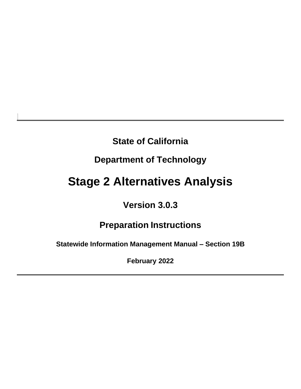# **State of California**

# **Department of Technology**

# **Stage 2 Alternatives Analysis**

# **Version 3.0.3**

# **Preparation Instructions**

**Statewide Information Management Manual – Section 19B**

**February 2022**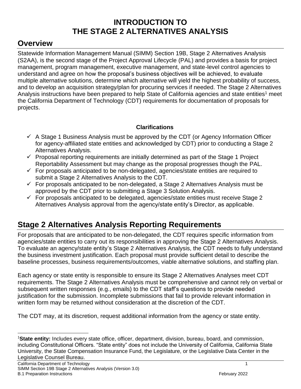# **INTRODUCTION TO THE STAGE 2 ALTERNATIVES ANALYSIS**

## <span id="page-1-0"></span>**Overview**

Statewide Information Management Manual (SIMM) Section 19B, Stage 2 Alternatives Analysis (S2AA), is the second stage of the Project Approval Lifecycle (PAL) and provides a basis for project management, program management, executive management, and state-level control agencies to understand and agree on how the proposal's business objectives will be achieved, to evaluate multiple alternative solutions, determine which alternative will yield the highest probability of success, and to develop an acquisition strategy/plan for procuring services if needed. The Stage 2 Alternatives Analysis instructions have been prepared to help State of California agencies and state entities<sup>1</sup> meet the California Department of Technology (CDT) requirements for documentation of proposals for projects.

#### **Clarifications**

- $\checkmark$  A Stage 1 Business Analysis must be approved by the CDT (or Agency Information Officer for agency-affiliated state entities and acknowledged by CDT) prior to conducting a Stage 2 Alternatives Analysis.
- $\checkmark$  Proposal reporting requirements are initially determined as part of the Stage 1 Project Reportability Assessment but may change as the proposal progresses though the PAL.
- $\checkmark$  For proposals anticipated to be non-delegated, agencies/state entities are required to submit a Stage 2 Alternatives Analysis to the CDT.
- $\checkmark$  For proposals anticipated to be non-delegated, a Stage 2 Alternatives Analysis must be approved by the CDT prior to submitting a Stage 3 Solution Analysis.
- $\checkmark$  For proposals anticipated to be delegated, agencies/state entities must receive Stage 2 Alternatives Analysis approval from the agency/state entity's Director, as applicable.

# <span id="page-1-1"></span>**Stage 2 Alternatives Analysis Reporting Requirements**

For proposals that are anticipated to be non-delegated, the CDT requires specific information from agencies/state entities to carry out its responsibilities in approving the Stage 2 Alternatives Analysis. To evaluate an agency/state entity's Stage 2 Alternatives Analysis, the CDT needs to fully understand the business investment justification. Each proposal must provide sufficient detail to describe the baseline processes, business requirements/outcomes, viable alternative solutions, and staffing plan.

Each agency or state entity is responsible to ensure its Stage 2 Alternatives Analyses meet CDT requirements. The Stage 2 Alternatives Analysis must be comprehensive and cannot rely on verbal or subsequent written responses (e.g., emails) to the CDT staff's questions to provide needed justification for the submission. Incomplete submissions that fail to provide relevant information in written form may be returned without consideration at the discretion of the CDT.

The CDT may, at its discretion, request additional information from the agency or state entity.

<sup>1</sup>**State entity:** Includes every state office, officer, department, division, bureau, board, and commission, including Constitutional Officers. "State entity" does not include the University of California, California State University, the State Compensation Insurance Fund, the Legislature, or the Legislative Data Center in the Legislative Counsel Bureau.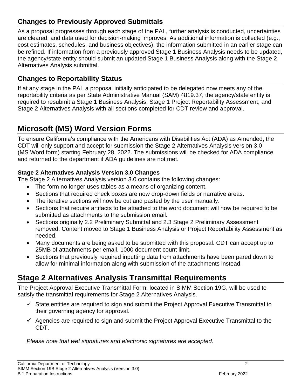## **Changes to Previously Approved Submittals**

As a proposal progresses through each stage of the PAL, further analysis is conducted, uncertainties are cleared, and data used for decision-making improves. As additional information is collected (e.g., cost estimates, schedules, and business objectives), the information submitted in an earlier stage can be refined. If information from a previously approved Stage 1 Business Analysis needs to be updated, the agency/state entity should submit an updated Stage 1 Business Analysis along with the Stage 2 Alternatives Analysis submittal.

## **Changes to Reportability Status**

If at any stage in the PAL a proposal initially anticipated to be delegated now meets any of the reportability criteria as per State Administrative Manual (SAM) 4819.37, the agency/state entity is required to resubmit a Stage 1 Business Analysis, Stage 1 Project Reportability Assessment, and Stage 2 Alternatives Analysis with all sections completed for CDT review and approval.

# **Microsoft (MS) Word Version Forms**

To ensure California's compliance with the Americans with Disabilities Act (ADA) as Amended, the CDT will only support and accept for submission the Stage 2 Alternatives Analysis version 3.0 (MS Word form) starting February 28, 2022. The submissions will be checked for ADA compliance and returned to the department if ADA guidelines are not met.

### **Stage 2 Alternatives Analysis Version 3.0 Changes**

The Stage 2 Alternatives Analysis version 3.0 contains the following changes:

- The form no longer uses tables as a means of organizing content.
- Sections that required check boxes are now drop-down fields or narrative areas.
- The iterative sections will now be cut and pasted by the user manually.
- Sections that require artifacts to be attached to the word document will now be required to be submitted as attachments to the submission email.
- Sections originally 2.2 Preliminary Submittal and 2.3 Stage 2 Preliminary Assessment removed. Content moved to Stage 1 Business Analysis or Project Reportability Assessment as needed.
- Many documents are being asked to be submitted with this proposal. CDT can accept up to 25MB of attachments per email, 1000 document count limit.
- Sections that previously required inputting data from attachments have been pared down to allow for minimal information along with submission of the attachments instead.

# <span id="page-2-0"></span>**Stage 2 Alternatives Analysis Transmittal Requirements**

The Project Approval Executive Transmittal Form, located in SIMM Section 19G, will be used to satisfy the transmittal requirements for Stage 2 Alternatives Analysis.

- ✓ State entities are required to sign and submit the Project Approval Executive Transmittal to their governing agency for approval.
- $\checkmark$  Agencies are required to sign and submit the Project Approval Executive Transmittal to the CDT.

*Please note that wet signatures and electronic signatures are accepted.*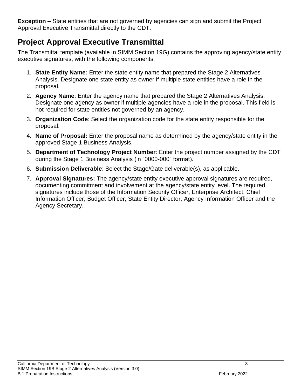**Exception –** State entities that are not governed by agencies can sign and submit the Project Approval Executive Transmittal directly to the CDT.

# <span id="page-3-0"></span>**Project Approval Executive Transmittal**

The Transmittal template (available in SIMM Section 19G) contains the approving agency/state entity executive signatures, with the following components:

- 1. **State Entity Name:** Enter the state entity name that prepared the Stage 2 Alternatives Analysis. Designate one state entity as owner if multiple state entities have a role in the proposal.
- 2. **Agency Name**: Enter the agency name that prepared the Stage 2 Alternatives Analysis. Designate one agency as owner if multiple agencies have a role in the proposal. This field is not required for state entities not governed by an agency.
- 3. **Organization Code**: Select the organization code for the state entity responsible for the proposal.
- 4. **Name of Proposal:** Enter the proposal name as determined by the agency/state entity in the approved Stage 1 Business Analysis.
- 5. **Department of Technology Project Number**: Enter the project number assigned by the CDT during the Stage 1 Business Analysis (in "0000-000" format).
- 6. **Submission Deliverable**: Select the Stage/Gate deliverable(s), as applicable.
- 7. **Approval Signatures:** The agency/state entity executive approval signatures are required, documenting commitment and involvement at the agency/state entity level. The required signatures include those of the Information Security Officer, Enterprise Architect, Chief Information Officer, Budget Officer, State Entity Director, Agency Information Officer and the Agency Secretary.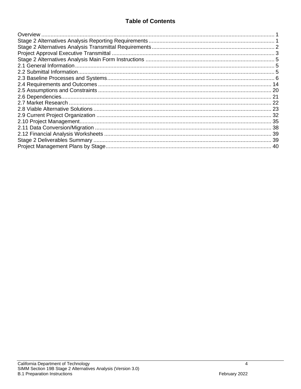| Overview |  |
|----------|--|
|          |  |
|          |  |
|          |  |
|          |  |
|          |  |
|          |  |
|          |  |
|          |  |
|          |  |
|          |  |
|          |  |
|          |  |
|          |  |
|          |  |
|          |  |
|          |  |
|          |  |
|          |  |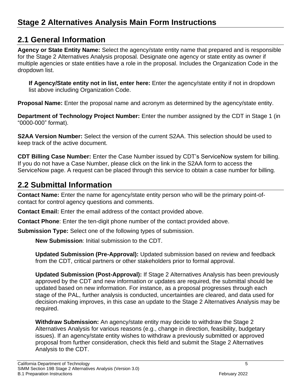# <span id="page-5-1"></span><span id="page-5-0"></span>**2.1 General Information**

**Agency or State Entity Name:** Select the agency/state entity name that prepared and is responsible for the Stage 2 Alternatives Analysis proposal. Designate one agency or state entity as owner if multiple agencies or state entities have a role in the proposal. Includes the Organization Code in the dropdown list.

**If Agency/State entity not in list, enter here:** Enter the agency/state entity if not in dropdown list above including Organization Code.

**Proposal Name:** Enter the proposal name and acronym as determined by the agency/state entity.

**Department of Technology Project Number:** Enter the number assigned by the CDT in Stage 1 (in "0000-000" format).

**S2AA Version Number:** Select the version of the current S2AA. This selection should be used to keep track of the active document.

**CDT Billing Case Number:** Enter the Case Number issued by CDT's ServiceNow system for billing. If you do not have a Case Number, please click on the link in the S2AA form to access the ServiceNow page. A request can be placed through this service to obtain a case number for billing.

# <span id="page-5-2"></span>**2.2 Submittal Information**

**Contact Name:** Enter the name for agency/state entity person who will be the primary point-ofcontact for control agency questions and comments.

**Contact Email:** Enter the email address of the contact provided above.

**Contact Phone**: Enter the ten-digit phone number of the contact provided above.

**Submission Type:** Select one of the following types of submission.

**New Submission**: Initial submission to the CDT.

**Updated Submission (Pre-Approval):** Updated submission based on review and feedback from the CDT, critical partners or other stakeholders prior to formal approval.

**Updated Submission (Post-Approval):** If Stage 2 Alternatives Analysis has been previously approved by the CDT and new information or updates are required, the submittal should be updated based on new information. For instance, as a proposal progresses through each stage of the PAL, further analysis is conducted, uncertainties are cleared, and data used for decision-making improves, in this case an update to the Stage 2 Alternatives Analysis may be required.

**Withdraw Submission:** An agency/state entity may decide to withdraw the Stage 2 Alternatives Analysis for various reasons (e.g., change in direction, feasibility, budgetary issues). If an agency/state entity wishes to withdraw a previously submitted or approved proposal from further consideration, check this field and submit the Stage 2 Alternatives Analysis to the CDT.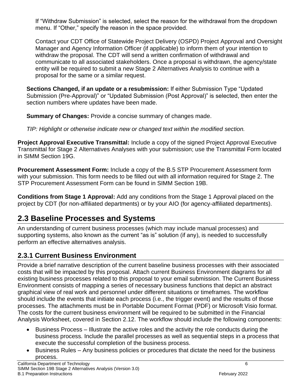If "Withdraw Submission" is selected, select the reason for the withdrawal from the dropdown menu. If "Other," specify the reason in the space provided.

Contact your CDT Office of Statewide Project Delivery (OSPD) Project Approval and Oversight Manager and Agency Information Officer (if applicable) to inform them of your intention to withdraw the proposal. The CDT will send a written confirmation of withdrawal and communicate to all associated stakeholders. Once a proposal is withdrawn, the agency/state entity will be required to submit a new Stage 2 Alternatives Analysis to continue with a proposal for the same or a similar request.

**Sections Changed, if an update or a resubmission:** If either Submission Type "Updated Submission (Pre-Approval)" or "Updated Submission (Post Approval)" is selected, then enter the section numbers where updates have been made.

**Summary of Changes:** Provide a concise summary of changes made.

*TIP: Highlight or otherwise indicate new or changed text within the modified section.*

**Project Approval Executive Transmittal:** Include a copy of the signed Project Approval Executive Transmittal for Stage 2 Alternatives Analyses with your submission; use the Transmittal Form located in SIMM Section 19G.

**Procurement Assessment Form:** Include a copy of the B.5 STP Procurement Assessment form with your submission. This form needs to be filled out with all information required for Stage 2. The STP Procurement Assessment Form can be found in SIMM Section 19B.

**Conditions from Stage 1 Approval:** Add any conditions from the Stage 1 Approval placed on the project by CDT (for non-affiliated departments) or by your AIO (for agency-affiliated departments).

# <span id="page-6-0"></span>**2.3 Baseline Processes and Systems**

An understanding of current business processes (which may include manual processes) and supporting systems, also known as the current "as is" solution (if any), is needed to successfully perform an effective alternatives analysis.

# **2.3.1 Current Business Environment**

Provide a brief narrative description of the current baseline business processes with their associated costs that will be impacted by this proposal. Attach current Business Environment diagrams for all existing business processes related to this proposal to your email submission. The Current Business Environment consists of mapping a series of necessary business functions that depict an abstract graphical view of real work and personnel under different situations or timeframes. The workflow should include the events that initiate each process (i.e., the trigger event) and the results of those processes. The attachments must be in Portable Document Format (PDF) or Microsoft Visio format. The costs for the current business environment will be required to be submitted in the Financial Analysis Worksheet, covered in Section 2.12. The workflow should include the following components:

- Business Process Illustrate the active roles and the activity the role conducts during the business process. Include the parallel processes as well as sequential steps in a process that execute the successful completion of the business process.
- Business Rules Any business policies or procedures that dictate the need for the business process.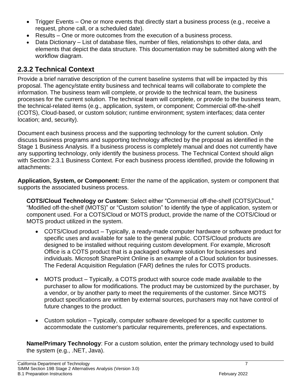- Trigger Events One or more events that directly start a business process (e.g., receive a request, phone call, or a scheduled date).
- Results One or more outcomes from the execution of a business process.
- Data Dictionary List of database files, number of files, relationships to other data, and elements that depict the data structure. This documentation may be submitted along with the workflow diagram.

### **2.3.2 Technical Context**

Provide a brief narrative description of the current baseline systems that will be impacted by this proposal. The agency/state entity business and technical teams will collaborate to complete the information. The business team will complete, or provide to the technical team, the business processes for the current solution. The technical team will complete, or provide to the business team, the technical-related items (e.g., application, system, or component; Commercial off-the-shelf (COTS), Cloud-based, or custom solution; runtime environment; system interfaces; data center location; and, security).

Document each business process and the supporting technology for the current solution. Only discuss business programs and supporting technology affected by the proposal as identified in the Stage 1 Business Analysis. If a business process is completely manual and does not currently have any supporting technology, only identify the business process. The Technical Context should align with Section 2.3.1 Business Context. For each business process identified, provide the following in attachments:

**Application, System, or Component:** Enter the name of the application, system or component that supports the associated business process.

**COTS/Cloud Technology or Custom**: Select either "Commercial off-the-shelf (COTS)/Cloud," "Modified off-the-shelf (MOTS)" or "Custom solution" to identify the type of application, system or component used. For a COTS/Cloud or MOTS product, provide the name of the COTS/Cloud or MOTS product utilized in the system.

- COTS/Cloud product Typically, a ready-made computer hardware or software product for specific uses and available for sale to the general public. COTS/Cloud products are designed to be installed without requiring custom development. For example, Microsoft Office is a COTS product that is a packaged software solution for businesses and individuals. Microsoft SharePoint Online is an example of a Cloud solution for businesses. The Federal Acquisition Regulation (FAR) defines the rules for COTS products.
- MOTS product Typically, a COTS product with source code made available to the purchaser to allow for modifications. The product may be customized by the purchaser, by a vendor, or by another party to meet the requirements of the customer. Since MOTS product specifications are written by external sources, purchasers may not have control of future changes to the product.
- Custom solution Typically, computer software developed for a specific customer to accommodate the customer's particular requirements, preferences, and expectations.

**Name/Primary Technology**: For a custom solution, enter the primary technology used to build the system (e.g., .NET, Java).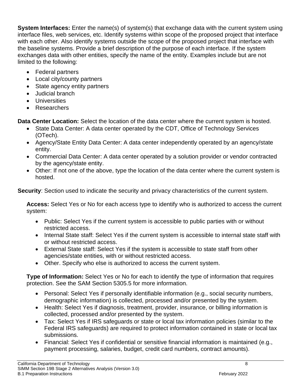**System Interfaces:** Enter the name(s) of system(s) that exchange data with the current system using interface files, web services, etc. Identify systems within scope of the proposed project that interface with each other. Also identify systems outside the scope of the proposed project that interface with the baseline systems. Provide a brief description of the purpose of each interface. If the system exchanges data with other entities, specify the name of the entity. Examples include but are not limited to the following:

- Federal partners
- Local city/county partners
- State agency entity partners
- Judicial branch
- Universities
- Researchers

**Data Center Location:** Select the location of the data center where the current system is hosted.

- State Data Center: A data center operated by the CDT, Office of Technology Services (OTech).
- Agency/State Entity Data Center: A data center independently operated by an agency/state entity.
- Commercial Data Center: A data center operated by a solution provider or vendor contracted by the agency/state entity.
- Other: If not one of the above, type the location of the data center where the current system is hosted.

**Security**: Section used to indicate the security and privacy characteristics of the current system.

**Access:** Select Yes or No for each access type to identify who is authorized to access the current system:

- Public: Select Yes if the current system is accessible to public parties with or without restricted access.
- Internal State staff: Select Yes if the current system is accessible to internal state staff with or without restricted access.
- External State staff: Select Yes if the system is accessible to state staff from other agencies/state entities, with or without restricted access.
- Other. Specify who else is authorized to access the current system.

**Type of Information:** Select Yes or No for each to identify the type of information that requires protection. See the SAM Section 5305.5 for more information.

- Personal: Select Yes if personally identifiable information (e.g., social security numbers, demographic information) is collected, processed and/or presented by the system.
- Health: Select Yes if diagnosis, treatment, provider, insurance, or billing information is collected, processed and/or presented by the system.
- Tax: Select Yes if IRS safeguards or state or local tax information policies (similar to the Federal IRS safeguards) are required to protect information contained in state or local tax submissions.
- Financial: Select Yes if confidential or sensitive financial information is maintained (e.g., payment processing, salaries, budget, credit card numbers, contract amounts).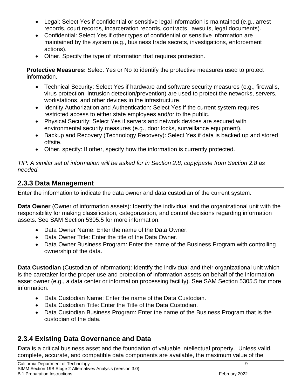- Legal: Select Yes if confidential or sensitive legal information is maintained (e.g., arrest records, court records, incarceration records, contracts, lawsuits, legal documents).
- Confidential: Select Yes if other types of confidential or sensitive information are maintained by the system (e.g., business trade secrets, investigations, enforcement actions).
- Other. Specify the type of information that requires protection.

**Protective Measures:** Select Yes or No to identify the protective measures used to protect information.

- Technical Security: Select Yes if hardware and software security measures (e.g., firewalls, virus protection, intrusion detection/prevention) are used to protect the networks, servers, workstations, and other devices in the infrastructure.
- Identity Authorization and Authentication: Select Yes if the current system requires restricted access to either state employees and/or to the public.
- Physical Security: Select Yes if servers and network devices are secured with environmental security measures (e.g., door locks, surveillance equipment).
- Backup and Recovery (Technology Recovery): Select Yes if data is backed up and stored offsite.
- Other, specify: If other, specify how the information is currently protected.

*TIP: A similar set of information will be asked for in Section 2.8, copy/paste from Section 2.8 as needed.*

### **2.3.3 Data Management**

Enter the information to indicate the data owner and data custodian of the current system.

**Data Owner** (Owner of information assets): Identify the individual and the organizational unit with the responsibility for making classification, categorization, and control decisions regarding information assets. See SAM Section 5305.5 for more information.

- Data Owner Name: Enter the name of the Data Owner.
- Data Owner Title: Enter the title of the Data Owner.
- Data Owner Business Program: Enter the name of the Business Program with controlling ownership of the data.

**Data Custodian** (Custodian of information): Identify the individual and their organizational unit which is the caretaker for the proper use and protection of information assets on behalf of the information asset owner (e.g., a data center or information processing facility). See SAM Section 5305.5 for more information.

- Data Custodian Name: Enter the name of the Data Custodian.
- Data Custodian Title: Enter the Title of the Data Custodian.
- Data Custodian Business Program: Enter the name of the Business Program that is the custodian of the data.

## **2.3.4 Existing Data Governance and Data**

Data is a critical business asset and the foundation of valuable intellectual property. Unless valid, complete, accurate, and compatible data components are available, the maximum value of the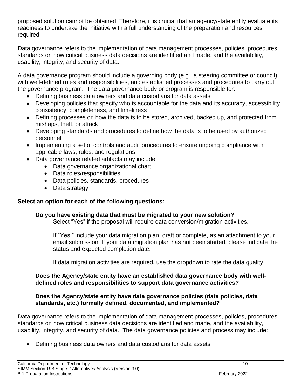proposed solution cannot be obtained. Therefore, it is crucial that an agency/state entity evaluate its readiness to undertake the initiative with a full understanding of the preparation and resources required.

Data governance refers to the implementation of data management processes, policies, procedures, standards on how critical business data decisions are identified and made, and the availability, usability, integrity, and security of data.

A data governance program should include a governing body (e.g., a steering committee or council) with well-defined roles and responsibilities, and established processes and procedures to carry out the governance program. The data governance body or program is responsible for:

- Defining business data owners and data custodians for data assets
- Developing policies that specify who is accountable for the data and its accuracy, accessibility, consistency, completeness, and timeliness
- Defining processes on how the data is to be stored, archived, backed up, and protected from mishaps, theft, or attack
- Developing standards and procedures to define how the data is to be used by authorized personnel
- Implementing a set of controls and audit procedures to ensure ongoing compliance with applicable laws, rules, and regulations
- Data governance related artifacts may include:
	- Data governance organizational chart
	- Data roles/responsibilities
	- Data policies, standards, procedures
	- Data strategy

#### **Select an option for each of the following questions:**

#### **Do you have existing data that must be migrated to your new solution?**

Select "Yes" if the proposal will require data conversion/migration activities.

If "Yes," include your data migration plan, draft or complete, as an attachment to your email submission. If your data migration plan has not been started, please indicate the status and expected completion date.

If data migration activities are required, use the dropdown to rate the data quality.

#### **Does the Agency/state entity have an established data governance body with welldefined roles and responsibilities to support data governance activities?**

#### **Does the Agency/state entity have data governance policies (data policies, data standards, etc.) formally defined, documented, and implemented?**

Data governance refers to the implementation of data management processes, policies, procedures, standards on how critical business data decisions are identified and made, and the availability, usability, integrity, and security of data. The data governance policies and process may include:

• Defining business data owners and data custodians for data assets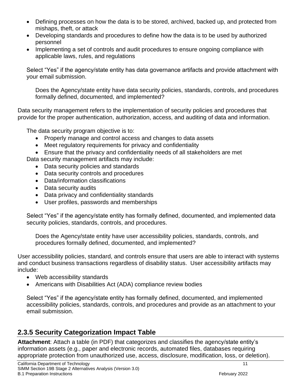- Defining processes on how the data is to be stored, archived, backed up, and protected from mishaps, theft, or attack
- Developing standards and procedures to define how the data is to be used by authorized personnel
- Implementing a set of controls and audit procedures to ensure ongoing compliance with applicable laws, rules, and regulations

Select "Yes" if the agency/state entity has data governance artifacts and provide attachment with your email submission.

Does the Agency/state entity have data security policies, standards, controls, and procedures formally defined, documented, and implemented?

Data security management refers to the implementation of security policies and procedures that provide for the proper authentication, authorization, access, and auditing of data and information.

The data security program objective is to:

- Properly manage and control access and changes to data assets
- Meet regulatory requirements for privacy and confidentiality
- Ensure that the privacy and confidentiality needs of all stakeholders are met

Data security management artifacts may include:

- Data security policies and standards
- Data security controls and procedures
- Data/information classifications
- Data security audits
- Data privacy and confidentiality standards
- User profiles, passwords and memberships

Select "Yes" if the agency/state entity has formally defined, documented, and implemented data security policies, standards, controls, and procedures.

Does the Agency/state entity have user accessibility policies, standards, controls, and procedures formally defined, documented, and implemented?

User accessibility policies, standard, and controls ensure that users are able to interact with systems and conduct business transactions regardless of disability status. User accessibility artifacts may include:

- Web accessibility standards
- Americans with Disabilities Act (ADA) compliance review bodies

Select "Yes" if the agency/state entity has formally defined, documented, and implemented accessibility policies, standards, controls, and procedures and provide as an attachment to your email submission.

## **2.3.5 Security Categorization Impact Table**

**Attachment**: Attach a table (in PDF) that categorizes and classifies the agency/state entity's information assets (e.g., paper and electronic records, automated files, databases requiring appropriate protection from unauthorized use, access, disclosure, modification, loss, or deletion).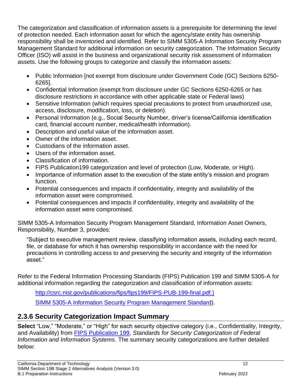The categorization and classification of information assets is a prerequisite for determining the level of protection needed. Each information asset for which the agency/state entity has ownership responsibility shall be inventoried and identified. Refer to SIMM 5305-A Information Security Program Management Standard for additional information on security categorization. The Information Security Officer (ISO) will assist in the business and organizational security risk assessment of information assets. Use the following groups to categorize and classify the information assets:

- Public Information [not exempt from disclosure under Government Code (GC) Sections 6250- 6265].
- Confidential Information (exempt from disclosure under GC Sections 6250-6265 or has disclosure restrictions in accordance with other applicable state or Federal laws)
- Sensitive Information (which requires special precautions to protect from unauthorized use, access, disclosure, modification, loss, or deletion).
- Personal Information (e.g., Social Security Number, driver's license/California identification card, financial account number, medical/health information).
- Description and useful value of the information asset.
- Owner of the information asset.
- Custodians of the information asset.
- Users of the information asset.
- Classification of information.
- FIPS Publication199 categorization and level of protection (Low, Moderate, or High).
- Importance of information asset to the execution of the state entity's mission and program function.
- Potential consequences and impacts if confidentiality, integrity and availability of the information asset were compromised.
- Potential consequences and impacts if confidentiality, integrity and availability of the information asset were compromised.

SIMM 5305-A Information Security Program Management Standard, Information Asset Owners, Responsibility, Number 3, provides:

"Subject to executive management review, classifying information assets, including each record, file, or database for which it has ownership responsibility in accordance with the need for precautions in controlling access to and preserving the security and integrity of the information asset."

Refer to the Federal Information Processing Standards (FIPS) Publication 199 and SIMM 5305-A for additional information regarding the categorization and classification of information assets:

[http://csrc.nist.gov/publications/fips/fips199/FIPS-PUB-199-final.pdf.](http://csrc.nist.gov/publications/fips/fips199/FIPS-PUB-199-final.pdf)) [SIMM 5305-A Information Security Program Management Standard\)](https://cdt.ca.gov/policy/simm/).

## **2.3.6 Security Categorization Impact Summary**

**Select** "Low," "Moderate," or "High" for each security objective category (i.e., Confidentiality, Integrity, and Availability) from [FIPS Publication 199,](http://csrc.nist.gov/publications/fips/fips199/FIPS-PUB-199-final.pdf) *Standards for Security Categorization of Federal Information and Information Systems*. The summary security categorizations are further detailed below: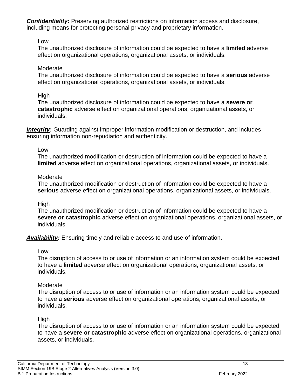*Confidentiality:* Preserving authorized restrictions on information access and disclosure, including means for protecting personal privacy and proprietary information.

Low

The unauthorized disclosure of information could be expected to have a **limited** adverse effect on organizational operations, organizational assets, or individuals.

#### **Moderate**

The unauthorized disclosure of information could be expected to have a **serious** adverse effect on organizational operations, organizational assets, or individuals.

High

The unauthorized disclosure of information could be expected to have a **severe or catastrophic** adverse effect on organizational operations, organizational assets, or individuals.

**Integrity:** Guarding against improper information modification or destruction, and includes ensuring information non-repudiation and authenticity.

Low

The unauthorized modification or destruction of information could be expected to have a **limited** adverse effect on organizational operations, organizational assets, or individuals.

#### Moderate

The unauthorized modification or destruction of information could be expected to have a **serious** adverse effect on organizational operations, organizational assets, or individuals.

**High** 

The unauthorized modification or destruction of information could be expected to have a **severe or catastrophic** adverse effect on organizational operations, organizational assets, or individuals.

*Availability:* Ensuring timely and reliable access to and use of information.

Low

The disruption of access to or use of information or an information system could be expected to have a **limited** adverse effect on organizational operations, organizational assets, or individuals.

#### Moderate

The disruption of access to or use of information or an information system could be expected to have a **serious** adverse effect on organizational operations, organizational assets, or individuals.

#### **High**

The disruption of access to or use of information or an information system could be expected to have a **severe or catastrophic** adverse effect on organizational operations, organizational assets, or individuals.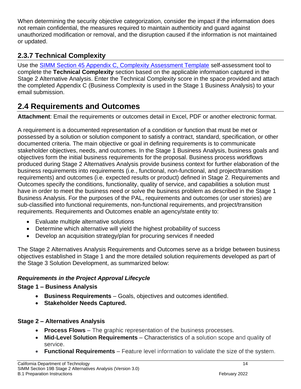When determining the security objective categorization, consider the impact if the information does not remain confidential, the measures required to maintain authenticity and guard against unauthorized modification or removal, and the disruption caused if the information is not maintained or updated.

### **2.3.7 Technical Complexity**

Use the [SIMM Section 45 Appendix C, Complexity Assessment Template](https://cdt.ca.gov/policy/simm/) self-assessment tool to complete the **Technical Complexity** section based on the applicable information captured in the Stage 2 Alternative Analysis. Enter the Technical Complexity score in the space provided and attach the completed Appendix C (Business Complexity is used in the Stage 1 Business Analysis) to your email submission.

# <span id="page-14-0"></span>**2.4 Requirements and Outcomes**

**Attachment**: Email the requirements or outcomes detail in Excel, PDF or another electronic format.

A requirement is a documented representation of a condition or function that must be met or possessed by a solution or solution component to satisfy a contract, standard, specification, or other documented criteria. The main objective or goal in defining requirements is to communicate stakeholder objectives, needs, and outcomes. In the Stage 1 Business Analysis, business goals and objectives form the initial business requirements for the proposal. Business process workflows produced during Stage 2 Alternatives Analysis provide business context for further elaboration of the business requirements into requirements (i.e., functional, non-functional, and project/transition requirements) and outcomes (i.e. expected results or product) defined in Stage 2. Requirements and Outcomes specify the conditions, functionality, quality of service, and capabilities a solution must have in order to meet the business need or solve the business problem as described in the Stage 1 Business Analysis. For the purposes of the PAL, requirements and outcomes (or user stories) are sub-classified into functional requirements, non-functional requirements, and project/transition requirements. Requirements and Outcomes enable an agency/state entity to:

- Evaluate multiple alternative solutions
- Determine which alternative will yield the highest probability of success
- Develop an acquisition strategy/plan for procuring services if needed

The Stage 2 Alternatives Analysis Requirements and Outcomes serve as a bridge between business objectives established in Stage 1 and the more detailed solution requirements developed as part of the Stage 3 Solution Development, as summarized below:

### *Requirements in the Project Approval Lifecycle*

#### **Stage 1 – Business Analysis**

- **Business Requirements** Goals, objectives and outcomes identified.
- **Stakeholder Needs Captured.**

#### **Stage 2 – Alternatives Analysis**

- **Process Flows**  The graphic representation of the business processes.
- **Mid-Level Solution Requirements** Characteristics of a solution scope and quality of service.
- **Functional Requirements** Feature level information to validate the size of the system.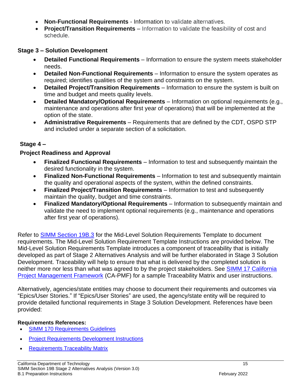- **Non-Functional Requirements** Information to validate alternatives.
- **Project/Transition Requirements** Information to validate the feasibility of cost and schedule.

#### **Stage 3 – Solution Development**

- **Detailed Functional Requirements** Information to ensure the system meets stakeholder needs.
- **Detailed Non-Functional Requirements**  Information to ensure the system operates as required; identifies qualities of the system and constraints on the system.
- **Detailed Project/Transition Requirements** Information to ensure the system is built on time and budget and meets quality levels.
- **Detailed Mandatory/Optional Requirements**  Information on optional requirements (e.g., maintenance and operations after first year of operations) that will be implemented at the option of the state.
- **Administrative Requirements**  Requirements that are defined by the CDT, OSPD STP and included under a separate section of a solicitation.

#### **Stage 4 –**

#### **Project Readiness and Approval**

- **Finalized Functional Requirements** Information to test and subsequently maintain the desired functionality in the system.
- **Finalized Non-Functional Requirements** Information to test and subsequently maintain the quality and operational aspects of the system, within the defined constraints.
- **Finalized Project/Transition Requirements**  Information to test and subsequently maintain the quality, budget and time constraints.
- **Finalized Mandatory/Optional Requirements**  Information to subsequently maintain and validate the need to implement optional requirements (e.g., maintenance and operations after first year of operations).

Refer to **[SIMM Section 19B.3](https://cdt.ca.gov/policy/simm-19/)** for the Mid-Level Solution Requirements Template to document requirements. The Mid-Level Solution Requirement Template Instructions are provided below. The Mid-Level Solution Requirements Template introduces a component of traceability that is initially developed as part of Stage 2 Alternatives Analysis and will be further elaborated in Stage 3 Solution Development. Traceability will help to ensure that what is delivered by the completed solution is neither more nor less than what was agreed to by the project stakeholders. See SIMM 17 California [Project Management Framework](http://capmf.cdt.ca.gov/) (CA-PMF) for a sample Traceability Matrix and user instructions.

Alternatively, agencies/state entities may choose to document their requirements and outcomes via "Epics/User Stories." If "Epics/User Stories" are used, the agency/state entity will be required to provide detailed functional requirements in Stage 3 Solution Development. References have been provided:

#### **Requirements References:**

- **[SIMM 170 Requirements Guidelines](http://cdt.ca.gov/policy/simm/)**
- [Project Requirements Development Instructions](https://cdt.ca.gov/wp-content/uploads/2019/07/SIMM_170B_Project_Requirements_Development_Instructions.pdf)
- **[Requirements Traceability Matrix](http://capmf.cio.ca.gov/files/CA-PMF_Planning_Templates_with_Instructions/Requirements_Traceability_Matrix_Template_with_Instructions.xlsx)**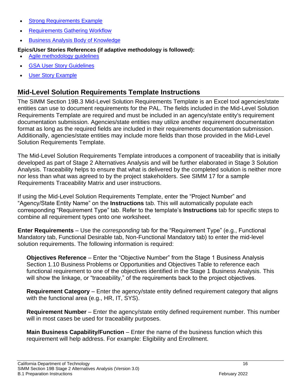- **[Strong Requirements Example](https://cdt.ca.gov/wp-content/uploads/2019/07/SIMM_170A_Exhibit_A_Strong_Requirement_Samples.pdf)**
- [Requirements Gathering Workflow](https://cdt.ca.gov/wp-content/uploads/2017/03/SIMM_170B_Exhibit_D_Requirements_Development_Workflow.pdf)
- [Business Analysis Body of Knowledge](http://www.iiba.org/standards-and-resources/babok/)

#### **Epics/User Stories References (if adaptive methodology is followed):**

- [Agile methodology guidelines](https://projectresources.cdt.ca.gov/agile/)
- **[GSA User Story Guidelines](http://tech.gsa.gov/guides/effective_user_stories/)**
- **[User Story Example](http://tech.gsa.gov/guides/user_story_example/)**

### **Mid-Level Solution Requirements Template Instructions**

The SIMM Section 19B.3 Mid-Level Solution Requirements Template is an Excel tool agencies/state entities can use to document requirements for the PAL. The fields included in the Mid-Level Solution Requirements Template are required and must be included in an agency/state entity's requirement documentation submission. Agencies/state entities may utilize another requirement documentation format as long as the required fields are included in their requirements documentation submission. Additionally, agencies/state entities may include more fields than those provided in the Mid-Level Solution Requirements Template.

The Mid-Level Solution Requirements Template introduces a component of traceability that is initially developed as part of Stage 2 Alternatives Analysis and will be further elaborated in Stage 3 Solution Analysis. Traceability helps to ensure that what is delivered by the completed solution is neither more nor less than what was agreed to by the project stakeholders. See SIMM 17 for a sample Requirements Traceability Matrix and user instructions.

If using the Mid-Level Solution Requirements Template, enter the "Project Number" and "Agency/State Entity Name" on the **Instructions** tab. This will automatically populate each corresponding "Requirement Type" tab. Refer to the template's **Instructions** tab for specific steps to combine all requirement types onto one worksheet.

**Enter Requirements** – Use the *corresponding* tab for the "Requirement Type" (e.g., Functional Mandatory tab, Functional Desirable tab, Non-Functional Mandatory tab) to enter the mid-level solution requirements. The following information is required:

**Objectives Reference** – Enter the "Objective Number" from the Stage 1 Business Analysis Section 1.10 Business Problems or Opportunities and Objectives Table to reference each functional requirement to one of the objectives identified in the Stage 1 Business Analysis. This will show the linkage, or "traceability," of the requirements back to the project objectives.

**Requirement Category** – Enter the agency/state entity defined requirement category that aligns with the functional area (e.g., HR, IT, SYS).

**Requirement Number** – Enter the agency/state entity defined requirement number. This number will in most cases be used for traceability purposes.

**Main Business Capability/Function** – Enter the name of the business function which this requirement will help address. For example: Eligibility and Enrollment.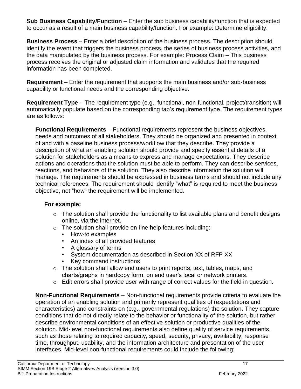**Sub Business Capability/Function** – Enter the sub business capability/function that is expected to occur as a result of a main business capability/function. For example: Determine eligibility.

**Business Process** – Enter a brief description of the business process. The description should identify the event that triggers the business process, the series of business process activities, and the data manipulated by the business process. For example: Process Claim – This business process receives the original or adjusted claim information and validates that the required information has been completed.

**Requirement** – Enter the requirement that supports the main business and/or sub-business capability or functional needs and the corresponding objective.

**Requirement Type** – The requirement type (e.g., functional, non-functional, project/transition) will automatically populate based on the corresponding tab's requirement type. The requirement types are as follows:

**Functional Requirements** – Functional requirements represent the business objectives, needs and outcomes of all stakeholders. They should be organized and presented in context of and with a baseline business process/workflow that they describe. They provide a description of what an enabling solution should provide and specify essential details of a solution for stakeholders as a means to express and manage expectations. They describe actions and operations that the solution must be able to perform. They can describe services, reactions, and behaviors of the solution. They also describe information the solution will manage. The requirements should be expressed in business terms and should not include any technical references. The requirement should identify "what" is required to meet the business objective, not "how" the requirement will be implemented.

#### **For example:**

- $\circ$  The solution shall provide the functionality to list available plans and benefit designs online, via the internet.
- o The solution shall provide on-line help features including:
	- How-to examples
	- An index of all provided features
	- A glossary of terms
	- System documentation as described in Section XX of RFP XX
	- Key command instructions
- $\circ$  The solution shall allow end users to print reports, text, tables, maps, and charts/graphs in hardcopy form, on end user's local or network printers.
- $\circ$  Edit errors shall provide user with range of correct values for the field in question.

**Non-Functional Requirements** – Non-functional requirements provide criteria to evaluate the operation of an enabling solution and primarily represent qualities of (expectations and characteristics) and constraints on (e.g., governmental regulations) the solution. They capture conditions that do not directly relate to the behavior or functionality of the solution, but rather describe environmental conditions of an effective solution or productive qualities of the solution. Mid-level non-functional requirements also define quality of service requirements, such as those relating to required capacity, speed, security, privacy, availability, response time, throughput, usability, and the information architecture and presentation of the user interfaces. Mid-level non-functional requirements could include the following: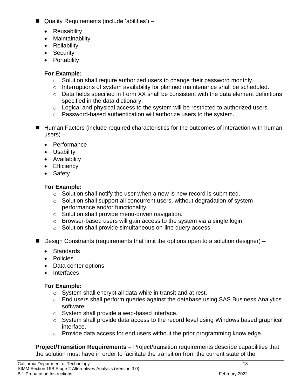- Quality Requirements (include 'abilities')
	- Reusability
	- Maintainability
	- Reliability
	- Security
	- Portability

#### **For Example:**

- $\circ$  Solution shall require authorized users to change their password monthly.
- $\circ$  Interruptions of system availability for planned maintenance shall be scheduled.
- o Data fields specified in Form XX shall be consistent with the data element definitions specified in the data dictionary.
- o Logical and physical access to the system will be restricted to authorized users.
- o Password-based authentication will authorize users to the system.
- Human Factors (include required characteristics for the outcomes of interaction with human users) –
	- Performance
	- Usability
	- Availability
	- Efficiency
	- Safety

#### **For Example:**

- $\circ$  Solution shall notify the user when a new is new record is submitted.
- o Solution shall support all concurrent users, without degradation of system performance and/or functionality.
- o Solution shall provide menu-driven navigation.
- o Browser-based users will gain access to the system via a single login.
- o Solution shall provide simultaneous on-line query access.
- $\blacksquare$  Design Constraints (requirements that limit the options open to a solution designer)
	- Standards
	- Policies
	- Data center options
	- Interfaces

### **For Example:**

- o System shall encrypt all data while in transit and at rest.
- o End users shall perform queries against the database using SAS Business Analytics software.
- o System shall provide a web-based interface.
- o System shall provide data access to the record level using Windows based graphical interface.
- o Provide data access for end users without the prior programming knowledge.

**Project/Transition Requirements** – Project/transition requirements describe capabilities that the solution must have in order to facilitate the transition from the current state of the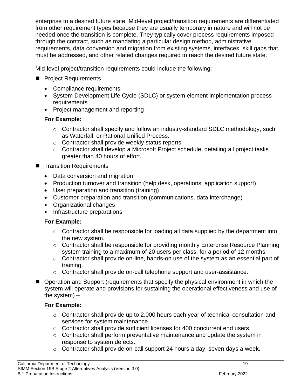enterprise to a desired future state. Mid-level project/transition requirements are differentiated from other requirement types because they are usually temporary in nature and will not be needed once the transition is complete. They typically cover process requirements imposed through the contract, such as mandating a particular design method, administrative requirements, data conversion and migration from existing systems, interfaces, skill gaps that must be addressed, and other related changes required to reach the desired future state.

Mid-level project/transition requirements could include the following:

- Project Requirements
	- Compliance requirements
	- System Development Life Cycle (SDLC) or system element implementation process requirements
	- Project management and reporting

#### **For Example:**

- o Contractor shall specify and follow an industry-standard SDLC methodology, such as Waterfall, or Rational Unified Process.
- o Contractor shall provide weekly status reports.
- o Contractor shall develop a Microsoft Project schedule, detailing all project tasks greater than 40 hours of effort.
- Transition Requirements
	- Data conversion and migration
	- Production turnover and transition (help desk, operations, application support)
	- User preparation and transition (training)
	- Customer preparation and transition (communications, data interchange)
	- Organizational changes
	- Infrastructure preparations

### **For Example:**

- $\circ$  Contractor shall be responsible for loading all data supplied by the department into the new system.
- $\circ$  Contractor shall be responsible for providing monthly Enterprise Resource Planning system training to a maximum of 20 users per class, for a period of 12 months.
- o Contractor shall provide on-line, hands-on use of the system as an essential part of training.
- $\circ$  Contractor shall provide on-call telephone support and user-assistance.
- Operation and Support (requirements that specify the physical environment in which the system will operate and provisions for sustaining the operational effectiveness and use of the system) –

### **For Example:**

- $\circ$  Contractor shall provide up to 2,000 hours each year of technical consultation and services for system maintenance.
- $\circ$  Contractor shall provide sufficient licenses for 400 concurrent end users.
- o Contractor shall perform preventative maintenance and update the system in response to system defects.
- o Contractor shall provide on-call support 24 hours a day, seven days a week.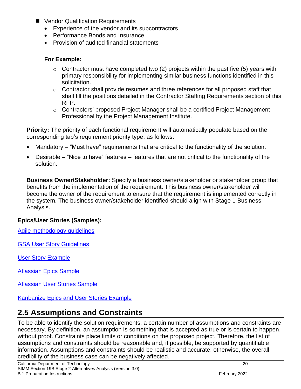- Vendor Qualification Requirements
	- Experience of the vendor and its subcontractors
	- Performance Bonds and Insurance
	- Provision of audited financial statements

#### **For Example:**

- $\circ$  Contractor must have completed two (2) projects within the past five (5) years with primary responsibility for implementing similar business functions identified in this solicitation.
- $\circ$  Contractor shall provide resumes and three references for all proposed staff that shall fill the positions detailed in the Contractor Staffing Requirements section of this RFP.
- o Contractors' proposed Project Manager shall be a certified Project Management Professional by the Project Management Institute.

**Priority:** The priority of each functional requirement will automatically populate based on the corresponding tab's requirement priority type, as follows:

- Mandatory "Must have" requirements that are critical to the functionality of the solution.
- Desirable "Nice to have" features features that are not critical to the functionality of the solution.

**Business Owner/Stakeholder:** Specify a business owner/stakeholder or stakeholder group that benefits from the implementation of the requirement. This business owner/stakeholder will become the owner of the requirement to ensure that the requirement is implemented correctly in the system. The business owner/stakeholder identified should align with Stage 1 Business Analysis.

#### **Epics/User Stories (Samples):**

[Agile methodology guidelines](https://projectresources.cdt.ca.gov/agile/)

[GSA User Story Guidelines](http://tech.gsa.gov/guides/effective_user_stories/)

[User Story Example](http://tech.gsa.gov/guides/user_story_example/)

[Atlassian Epics Sample](https://www.atlassian.com/agile/project-management/epics)

[Atlassian User Stories Sample](https://www.atlassian.com/agile/project-management/user-stories)

[Kanbanize Epics and User Stories Example](https://kanbanize.com/agile/project-management/tasks-epics-initiatives-themes)

# <span id="page-20-0"></span>**2.5 Assumptions and Constraints**

To be able to identify the solution requirements, a certain number of assumptions and constraints are necessary. By definition, an assumption is something that is accepted as true or is certain to happen, without proof. Constraints place limits or conditions on the proposed project. Therefore, the list of assumptions and constraints should be reasonable and, if possible, be supported by quantifiable information. Assumptions and constraints should be realistic and accurate; otherwise, the overall credibility of the business case can be negatively affected.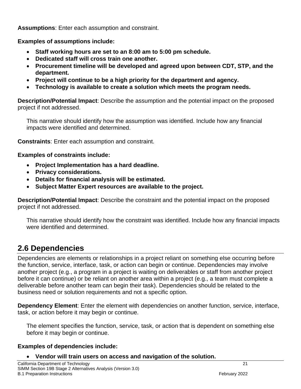**Assumptions**: Enter each assumption and constraint.

**Examples of assumptions include:**

- **Staff working hours are set to an 8:00 am to 5:00 pm schedule.**
- **Dedicated staff will cross train one another.**
- **Procurement timeline will be developed and agreed upon between CDT, STP, and the department.**
- **Project will continue to be a high priority for the department and agency.**
- **Technology is available to create a solution which meets the program needs.**

**Description/Potential Impact**: Describe the assumption and the potential impact on the proposed project if not addressed.

This narrative should identify how the assumption was identified. Include how any financial impacts were identified and determined.

**Constraints**: Enter each assumption and constraint.

#### **Examples of constraints include:**

- **Project Implementation has a hard deadline.**
- **Privacy considerations.**
- **Details for financial analysis will be estimated.**
- **Subject Matter Expert resources are available to the project.**

**Description/Potential Impact**: Describe the constraint and the potential impact on the proposed project if not addressed.

This narrative should identify how the constraint was identified. Include how any financial impacts were identified and determined.

## <span id="page-21-0"></span>**2.6 Dependencies**

Dependencies are elements or relationships in a project reliant on something else occurring before the function, service, interface, task, or action can begin or continue. Dependencies may involve another project (e.g., a program in a project is waiting on deliverables or staff from another project before it can continue) or be reliant on another area within a project (e.g., a team must complete a deliverable before another team can begin their task). Dependencies should be related to the business need or solution requirements and not a specific option.

**Dependency Element**: Enter the element with dependencies on another function, service, interface, task, or action before it may begin or continue.

The element specifies the function, service, task, or action that is dependent on something else before it may begin or continue.

#### **Examples of dependencies include:**

#### • **Vendor will train users on access and navigation of the solution.**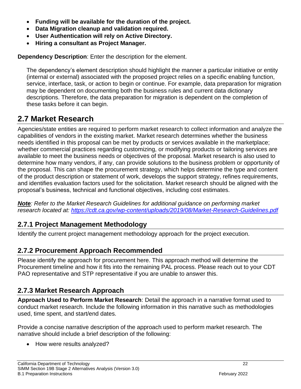- **Funding will be available for the duration of the project.**
- **Data Migration cleanup and validation required.**
- **User Authentication will rely on Active Directory.**
- **Hiring a consultant as Project Manager.**

**Dependency Description**: Enter the description for the element.

The dependency's element description should highlight the manner a particular initiative or entity (internal or external) associated with the proposed project relies on a specific enabling function, service, interface, task, or action to begin or continue. For example, data preparation for migration may be dependent on documenting both the business rules and current data dictionary descriptions. Therefore, the data preparation for migration is dependent on the completion of these tasks before it can begin.

# <span id="page-22-0"></span>**2.7 Market Research**

Agencies/state entities are required to perform market research to collect information and analyze the capabilities of vendors in the existing market. Market research determines whether the business needs identified in this proposal can be met by products or services available in the marketplace; whether commercial practices regarding customizing, or modifying products or tailoring services are available to meet the business needs or objectives of the proposal. Market research is also used to determine how many vendors, if any, can provide solutions to the business problem or opportunity of the proposal. This can shape the procurement strategy, which helps determine the type and content of the product description or statement of work, develops the support strategy, refines requirements, and identifies evaluation factors used for the solicitation. Market research should be aligned with the proposal's business, technical and functional objectives, including cost estimates.

*Note: Refer to the Market Research Guidelines for additional guidance on performing market research located at: <https://cdt.ca.gov/wp-content/uploads/2019/08/Market-Research-Guidelines.pdf>*

## **2.7.1 Project Management Methodology**

Identify the current project management methodology approach for the project execution.

### **2.7.2 Procurement Approach Recommended**

Please identify the approach for procurement here. This approach method will determine the Procurement timeline and how it fits into the remaining PAL process. Please reach out to your CDT PAO representative and STP representative if you are unable to answer this.

### **2.7.3 Market Research Approach**

**Approach Used to Perform Market Research**: Detail the approach in a narrative format used to conduct market research. Include the following information in this narrative such as methodologies used, time spent, and start/end dates.

Provide a concise narrative description of the approach used to perform market research. The narrative should include a brief description of the following:

• How were results analyzed?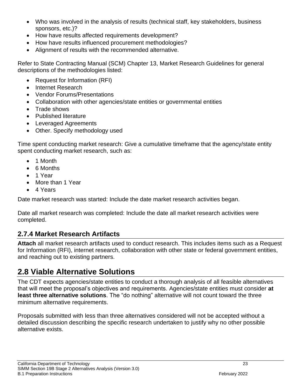- Who was involved in the analysis of results (technical staff, key stakeholders, business sponsors, etc.)?
- How have results affected requirements development?
- How have results influenced procurement methodologies?
- Alignment of results with the recommended alternative.

Refer to State Contracting Manual (SCM) Chapter 13, Market Research Guidelines for general descriptions of the methodologies listed:

- Request for Information (RFI)
- Internet Research
- Vendor Forums/Presentations
- Collaboration with other agencies/state entities or governmental entities
- Trade shows
- Published literature
- Leveraged Agreements
- Other. Specify methodology used

Time spent conducting market research: Give a cumulative timeframe that the agency/state entity spent conducting market research, such as:

- 1 Month
- 6 Months
- 1 Year
- More than 1 Year
- 4 Years

Date market research was started: Include the date market research activities began.

Date all market research was completed: Include the date all market research activities were completed.

### **2.7.4 Market Research Artifacts**

**Attach** all market research artifacts used to conduct research. This includes items such as a Request for Information (RFI), internet research, collaboration with other state or federal government entities, and reaching out to existing partners.

# <span id="page-23-0"></span>**2.8 Viable Alternative Solutions**

The CDT expects agencies/state entities to conduct a thorough analysis of all feasible alternatives that will meet the proposal's objectives and requirements. Agencies/state entities must consider **at least three alternative solutions**. The "do nothing" alternative will not count toward the three minimum alternative requirements.

Proposals submitted with less than three alternatives considered will not be accepted without a detailed discussion describing the specific research undertaken to justify why no other possible alternative exists.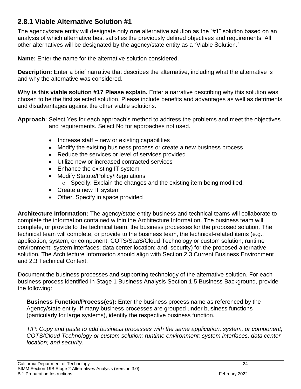### **2.8.1 Viable Alternative Solution #1**

The agency/state entity will designate only **one** alternative solution as the "#1" solution based on an analysis of which alternative best satisfies the previously defined objectives and requirements. All other alternatives will be designated by the agency/state entity as a "Viable Solution."

**Name:** Enter the name for the alternative solution considered.

**Description:** Enter a brief narrative that describes the alternative, including what the alternative is and why the alternative was considered.

**Why is this viable solution #1? Please explain.** Enter a narrative describing why this solution was chosen to be the first selected solution. Please include benefits and advantages as well as detriments and disadvantages against the other viable solutions.

**Approach**: Select Yes for each approach's method to address the problems and meet the objectives and requirements. Select No for approaches not used.

- Increase staff new or existing capabilities
- Modify the existing business process or create a new business process
- Reduce the services or level of services provided
- Utilize new or increased contracted services
- Enhance the existing IT system
- Modify Statute/Policy/Regulations
	- $\circ$  Specify: Explain the changes and the existing item being modified.
- Create a new IT system
- Other. Specify in space provided

**Architecture Information:** The agency/state entity business and technical teams will collaborate to complete the information contained within the Architecture Information. The business team will complete, or provide to the technical team, the business processes for the proposed solution. The technical team will complete, or provide to the business team, the technical-related items (e.g., application, system, or component; COTS/SaaS/Cloud Technology or custom solution; runtime environment; system interfaces; data center location; and, security) for the proposed alternative solution. The Architecture Information should align with Section 2.3 Current Business Environment and 2.3 Technical Context.

Document the business processes and supporting technology of the alternative solution. For each business process identified in Stage 1 Business Analysis Section 1.5 Business Background, provide the following:

**Business Function/Process(es):** Enter the business process name as referenced by the Agency/state entity. If many business processes are grouped under business functions (particularly for large systems), identify the respective business function.

*TIP: Copy and paste to add business processes with the same application, system, or component; COTS/Cloud Technology or custom solution; runtime environment; system interfaces, data center location; and security.*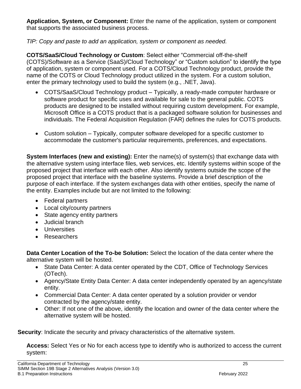**Application, System, or Component:** Enter the name of the application, system or component that supports the associated business process.

#### *TIP: Copy and paste to add an application, system or component as needed.*

**COTS/SaaS/Cloud Technology or Custom**: Select either "Commercial off-the-shelf (COTS)/Software as a Service (SaaS)/Cloud Technology" or "Custom solution" to identify the type of application, system or component used. For a COTS/Cloud Technology product, provide the name of the COTS or Cloud Technology product utilized in the system. For a custom solution, enter the primary technology used to build the system (e.g., .NET, Java).

- COTS/SaaS/Cloud Technology product Typically, a ready-made computer hardware or software product for specific uses and available for sale to the general public. COTS products are designed to be installed without requiring custom development. For example, Microsoft Office is a COTS product that is a packaged software solution for businesses and individuals. The Federal Acquisition Regulation (FAR) defines the rules for COTS products.
- Custom solution Typically, computer software developed for a specific customer to accommodate the customer's particular requirements, preferences, and expectations.

**System Interfaces (new and existing):** Enter the name(s) of system(s) that exchange data with the alternative system using interface files, web services, etc. Identify systems within scope of the proposed project that interface with each other. Also identify systems outside the scope of the proposed project that interface with the baseline systems. Provide a brief description of the purpose of each interface. If the system exchanges data with other entities, specify the name of the entity. Examples include but are not limited to the following:

- Federal partners
- Local city/county partners
- State agency entity partners
- Judicial branch
- Universities
- Researchers

**Data Center Location of the To-be Solution:** Select the location of the data center where the alternative system will be hosted.

- State Data Center: A data center operated by the CDT, Office of Technology Services (OTech).
- Agency/State Entity Data Center: A data center independently operated by an agency/state entity.
- Commercial Data Center: A data center operated by a solution provider or vendor contracted by the agency/state entity.
- Other: If not one of the above, identify the location and owner of the data center where the alternative system will be hosted.

**Security:** Indicate the security and privacy characteristics of the alternative system.

**Access:** Select Yes or No for each access type to identify who is authorized to access the current system: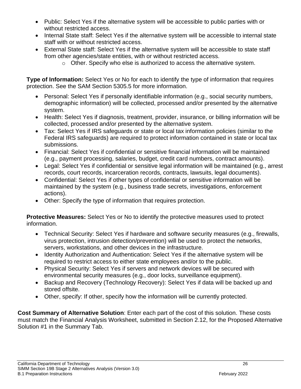- Public: Select Yes if the alternative system will be accessible to public parties with or without restricted access.
- Internal State staff: Select Yes if the alternative system will be accessible to internal state staff with or without restricted access.
- External State staff: Select Yes if the alternative system will be accessible to state staff from other agencies/state entities, with or without restricted access.
	- o Other. Specify who else is authorized to access the alternative system.

**Type of Information:** Select Yes or No for each to identify the type of information that requires protection. See the SAM Section 5305.5 for more information.

- Personal: Select Yes if personally identifiable information (e.g., social security numbers, demographic information) will be collected, processed and/or presented by the alternative system.
- Health: Select Yes if diagnosis, treatment, provider, insurance, or billing information will be collected, processed and/or presented by the alternative system.
- Tax: Select Yes if IRS safeguards or state or local tax information policies (similar to the Federal IRS safeguards) are required to protect information contained in state or local tax submissions.
- Financial: Select Yes if confidential or sensitive financial information will be maintained (e.g., payment processing, salaries, budget, credit card numbers, contract amounts).
- Legal: Select Yes if confidential or sensitive legal information will be maintained (e.g., arrest records, court records, incarceration records, contracts, lawsuits, legal documents).
- Confidential: Select Yes if other types of confidential or sensitive information will be maintained by the system (e.g., business trade secrets, investigations, enforcement actions).
- Other: Specify the type of information that requires protection.

**Protective Measures:** Select Yes or No to identify the protective measures used to protect information.

- Technical Security: Select Yes if hardware and software security measures (e.g., firewalls, virus protection, intrusion detection/prevention) will be used to protect the networks, servers, workstations, and other devices in the infrastructure.
- Identity Authorization and Authentication: Select Yes if the alternative system will be required to restrict access to either state employees and/or to the public.
- Physical Security: Select Yes if servers and network devices will be secured with environmental security measures (e.g., door locks, surveillance equipment).
- Backup and Recovery (Technology Recovery): Select Yes if data will be backed up and stored offsite.
- Other, specify: If other, specify how the information will be currently protected.

**Cost Summary of Alternative Solution**: Enter each part of the cost of this solution. These costs must match the Financial Analysis Worksheet, submitted in Section 2.12, for the Proposed Alternative Solution #1 in the Summary Tab.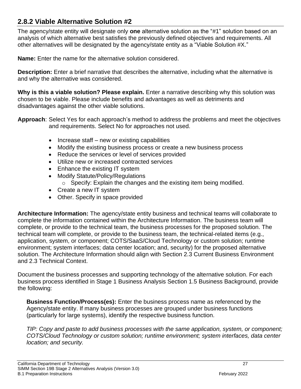### **2.8.2 Viable Alternative Solution #2**

The agency/state entity will designate only **one** alternative solution as the "#1" solution based on an analysis of which alternative best satisfies the previously defined objectives and requirements. All other alternatives will be designated by the agency/state entity as a "Viable Solution #X."

**Name:** Enter the name for the alternative solution considered.

**Description:** Enter a brief narrative that describes the alternative, including what the alternative is and why the alternative was considered.

**Why is this a viable solution? Please explain.** Enter a narrative describing why this solution was chosen to be viable. Please include benefits and advantages as well as detriments and disadvantages against the other viable solutions.

**Approach**: Select Yes for each approach's method to address the problems and meet the objectives and requirements. Select No for approaches not used.

- Increase staff new or existing capabilities
- Modify the existing business process or create a new business process
- Reduce the services or level of services provided
- Utilize new or increased contracted services
- Enhance the existing IT system
- Modify Statute/Policy/Regulations
	- $\circ$  Specify: Explain the changes and the existing item being modified.
- Create a new IT system
- Other. Specify in space provided

**Architecture Information:** The agency/state entity business and technical teams will collaborate to complete the information contained within the Architecture Information. The business team will complete, or provide to the technical team, the business processes for the proposed solution. The technical team will complete, or provide to the business team, the technical-related items (e.g., application, system, or component; COTS/SaaS/Cloud Technology or custom solution; runtime environment; system interfaces; data center location; and, security) for the proposed alternative solution. The Architecture Information should align with Section 2.3 Current Business Environment and 2.3 Technical Context.

Document the business processes and supporting technology of the alternative solution. For each business process identified in Stage 1 Business Analysis Section 1.5 Business Background, provide the following:

**Business Function/Process(es):** Enter the business process name as referenced by the Agency/state entity. If many business processes are grouped under business functions (particularly for large systems), identify the respective business function.

*TIP: Copy and paste to add business processes with the same application, system, or component; COTS/Cloud Technology or custom solution; runtime environment; system interfaces, data center location; and security.*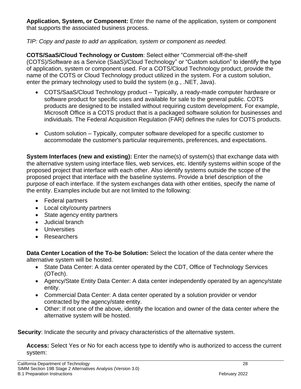**Application, System, or Component:** Enter the name of the application, system or component that supports the associated business process.

#### *TIP: Copy and paste to add an application, system or component as needed.*

**COTS/SaaS/Cloud Technology or Custom**: Select either "Commercial off-the-shelf (COTS)/Software as a Service (SaaS)/Cloud Technology" or "Custom solution" to identify the type of application, system or component used. For a COTS/Cloud Technology product, provide the name of the COTS or Cloud Technology product utilized in the system. For a custom solution, enter the primary technology used to build the system (e.g., .NET, Java).

- COTS/SaaS/Cloud Technology product Typically, a ready-made computer hardware or software product for specific uses and available for sale to the general public. COTS products are designed to be installed without requiring custom development. For example, Microsoft Office is a COTS product that is a packaged software solution for businesses and individuals. The Federal Acquisition Regulation (FAR) defines the rules for COTS products.
- Custom solution Typically, computer software developed for a specific customer to accommodate the customer's particular requirements, preferences, and expectations.

**System Interfaces (new and existing):** Enter the name(s) of system(s) that exchange data with the alternative system using interface files, web services, etc. Identify systems within scope of the proposed project that interface with each other. Also identify systems outside the scope of the proposed project that interface with the baseline systems. Provide a brief description of the purpose of each interface. If the system exchanges data with other entities, specify the name of the entity. Examples include but are not limited to the following:

- Federal partners
- Local city/county partners
- State agency entity partners
- Judicial branch
- Universities
- Researchers

**Data Center Location of the To-be Solution:** Select the location of the data center where the alternative system will be hosted.

- State Data Center: A data center operated by the CDT, Office of Technology Services (OTech).
- Agency/State Entity Data Center: A data center independently operated by an agency/state entity.
- Commercial Data Center: A data center operated by a solution provider or vendor contracted by the agency/state entity.
- Other: If not one of the above, identify the location and owner of the data center where the alternative system will be hosted.

**Security:** Indicate the security and privacy characteristics of the alternative system.

**Access:** Select Yes or No for each access type to identify who is authorized to access the current system: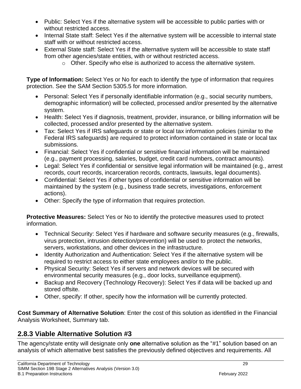- Public: Select Yes if the alternative system will be accessible to public parties with or without restricted access.
- Internal State staff: Select Yes if the alternative system will be accessible to internal state staff with or without restricted access.
- External State staff: Select Yes if the alternative system will be accessible to state staff from other agencies/state entities, with or without restricted access.
	- o Other. Specify who else is authorized to access the alternative system.

**Type of Information:** Select Yes or No for each to identify the type of information that requires protection. See the SAM Section 5305.5 for more information.

- Personal: Select Yes if personally identifiable information (e.g., social security numbers, demographic information) will be collected, processed and/or presented by the alternative system.
- Health: Select Yes if diagnosis, treatment, provider, insurance, or billing information will be collected, processed and/or presented by the alternative system.
- Tax: Select Yes if IRS safeguards or state or local tax information policies (similar to the Federal IRS safeguards) are required to protect information contained in state or local tax submissions.
- Financial: Select Yes if confidential or sensitive financial information will be maintained (e.g., payment processing, salaries, budget, credit card numbers, contract amounts).
- Legal: Select Yes if confidential or sensitive legal information will be maintained (e.g., arrest records, court records, incarceration records, contracts, lawsuits, legal documents).
- Confidential: Select Yes if other types of confidential or sensitive information will be maintained by the system (e.g., business trade secrets, investigations, enforcement actions).
- Other: Specify the type of information that requires protection.

**Protective Measures:** Select Yes or No to identify the protective measures used to protect information.

- Technical Security: Select Yes if hardware and software security measures (e.g., firewalls, virus protection, intrusion detection/prevention) will be used to protect the networks, servers, workstations, and other devices in the infrastructure.
- Identity Authorization and Authentication: Select Yes if the alternative system will be required to restrict access to either state employees and/or to the public.
- Physical Security: Select Yes if servers and network devices will be secured with environmental security measures (e.g., door locks, surveillance equipment).
- Backup and Recovery (Technology Recovery): Select Yes if data will be backed up and stored offsite.
- Other, specify: If other, specify how the information will be currently protected.

**Cost Summary of Alternative Solution**: Enter the cost of this solution as identified in the Financial Analysis Worksheet, Summary tab.

## **2.8.3 Viable Alternative Solution #3**

The agency/state entity will designate only **one** alternative solution as the "#1" solution based on an analysis of which alternative best satisfies the previously defined objectives and requirements. All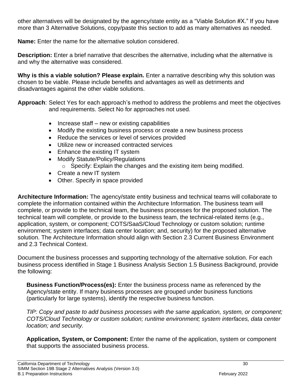other alternatives will be designated by the agency/state entity as a "Viable Solution #X." If you have more than 3 Alternative Solutions, copy/paste this section to add as many alternatives as needed.

**Name:** Enter the name for the alternative solution considered.

**Description:** Enter a brief narrative that describes the alternative, including what the alternative is and why the alternative was considered.

**Why is this a viable solution? Please explain.** Enter a narrative describing why this solution was chosen to be viable. Please include benefits and advantages as well as detriments and disadvantages against the other viable solutions.

**Approach**: Select Yes for each approach's method to address the problems and meet the objectives and requirements. Select No for approaches not used.

- Increase staff new or existing capabilities
- Modify the existing business process or create a new business process
- Reduce the services or level of services provided
- Utilize new or increased contracted services
- Enhance the existing IT system
- Modify Statute/Policy/Regulations
	- o Specify: Explain the changes and the existing item being modified.
- Create a new IT system
- Other. Specify in space provided

**Architecture Information:** The agency/state entity business and technical teams will collaborate to complete the information contained within the Architecture Information. The business team will complete, or provide to the technical team, the business processes for the proposed solution. The technical team will complete, or provide to the business team, the technical-related items (e.g., application, system, or component; COTS/SaaS/Cloud Technology or custom solution; runtime environment; system interfaces; data center location; and, security) for the proposed alternative solution. The Architecture Information should align with Section 2.3 Current Business Environment and 2.3 Technical Context.

Document the business processes and supporting technology of the alternative solution. For each business process identified in Stage 1 Business Analysis Section 1.5 Business Background, provide the following:

**Business Function/Process(es):** Enter the business process name as referenced by the Agency/state entity. If many business processes are grouped under business functions (particularly for large systems), identify the respective business function.

*TIP: Copy and paste to add business processes with the same application, system, or component; COTS/Cloud Technology or custom solution; runtime environment; system interfaces, data center location; and security.*

**Application, System, or Component:** Enter the name of the application, system or component that supports the associated business process.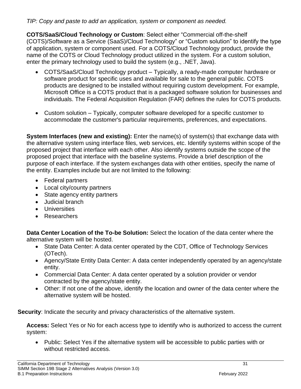#### *TIP: Copy and paste to add an application, system or component as needed.*

**COTS/SaaS/Cloud Technology or Custom**: Select either "Commercial off-the-shelf (COTS)/Software as a Service (SaaS)/Cloud Technology" or "Custom solution" to identify the type of application, system or component used. For a COTS/Cloud Technology product, provide the name of the COTS or Cloud Technology product utilized in the system. For a custom solution, enter the primary technology used to build the system (e.g., .NET, Java).

- COTS/SaaS/Cloud Technology product Typically, a ready-made computer hardware or software product for specific uses and available for sale to the general public. COTS products are designed to be installed without requiring custom development. For example, Microsoft Office is a COTS product that is a packaged software solution for businesses and individuals. The Federal Acquisition Regulation (FAR) defines the rules for COTS products.
- Custom solution Typically, computer software developed for a specific customer to accommodate the customer's particular requirements, preferences, and expectations.

**System Interfaces (new and existing):** Enter the name(s) of system(s) that exchange data with the alternative system using interface files, web services, etc. Identify systems within scope of the proposed project that interface with each other. Also identify systems outside the scope of the proposed project that interface with the baseline systems. Provide a brief description of the purpose of each interface. If the system exchanges data with other entities, specify the name of the entity. Examples include but are not limited to the following:

- Federal partners
- Local city/county partners
- State agency entity partners
- Judicial branch
- Universities
- Researchers

**Data Center Location of the To-be Solution:** Select the location of the data center where the alternative system will be hosted.

- State Data Center: A data center operated by the CDT, Office of Technology Services (OTech).
- Agency/State Entity Data Center: A data center independently operated by an agency/state entity.
- Commercial Data Center: A data center operated by a solution provider or vendor contracted by the agency/state entity.
- Other: If not one of the above, identify the location and owner of the data center where the alternative system will be hosted.

**Security**: Indicate the security and privacy characteristics of the alternative system.

**Access:** Select Yes or No for each access type to identify who is authorized to access the current system:

• Public: Select Yes if the alternative system will be accessible to public parties with or without restricted access.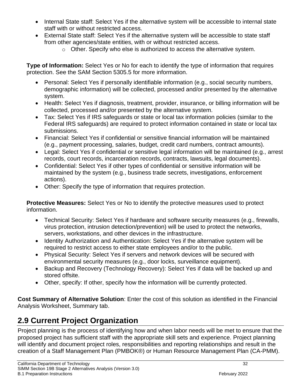- Internal State staff: Select Yes if the alternative system will be accessible to internal state staff with or without restricted access.
- External State staff: Select Yes if the alternative system will be accessible to state staff from other agencies/state entities, with or without restricted access.
	- o Other. Specify who else is authorized to access the alternative system.

**Type of Information:** Select Yes or No for each to identify the type of information that requires protection. See the SAM Section 5305.5 for more information.

- Personal: Select Yes if personally identifiable information (e.g., social security numbers, demographic information) will be collected, processed and/or presented by the alternative system.
- Health: Select Yes if diagnosis, treatment, provider, insurance, or billing information will be collected, processed and/or presented by the alternative system.
- Tax: Select Yes if IRS safeguards or state or local tax information policies (similar to the Federal IRS safeguards) are required to protect information contained in state or local tax submissions.
- Financial: Select Yes if confidential or sensitive financial information will be maintained (e.g., payment processing, salaries, budget, credit card numbers, contract amounts).
- Legal: Select Yes if confidential or sensitive legal information will be maintained (e.g., arrest records, court records, incarceration records, contracts, lawsuits, legal documents).
- Confidential: Select Yes if other types of confidential or sensitive information will be maintained by the system (e.g., business trade secrets, investigations, enforcement actions).
- Other: Specify the type of information that requires protection.

**Protective Measures:** Select Yes or No to identify the protective measures used to protect information.

- Technical Security: Select Yes if hardware and software security measures (e.g., firewalls, virus protection, intrusion detection/prevention) will be used to protect the networks, servers, workstations, and other devices in the infrastructure.
- Identity Authorization and Authentication: Select Yes if the alternative system will be required to restrict access to either state employees and/or to the public.
- Physical Security: Select Yes if servers and network devices will be secured with environmental security measures (e.g., door locks, surveillance equipment).
- Backup and Recovery (Technology Recovery): Select Yes if data will be backed up and stored offsite.
- Other, specify: If other, specify how the information will be currently protected.

**Cost Summary of Alternative Solution**: Enter the cost of this solution as identified in the Financial Analysis Worksheet, Summary tab.

# <span id="page-32-0"></span>**2.9 Current Project Organization**

Project planning is the process of identifying how and when labor needs will be met to ensure that the proposed project has sufficient staff with the appropriate skill sets and experience. Project planning will identify and document project roles, responsibilities and reporting relationships and result in the creation of a Staff Management Plan (PMBOK®) or Human Resource Management Plan (CA-PMM).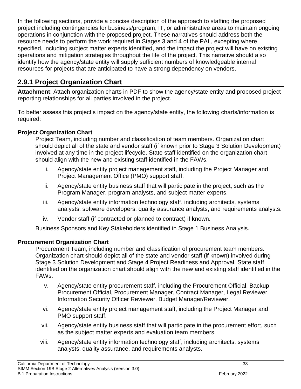In the following sections, provide a concise description of the approach to staffing the proposed project including contingencies for business/program, IT, or administrative areas to maintain ongoing operations in conjunction with the proposed project. These narratives should address both the resource needs to perform the work required in Stages 3 and 4 of the PAL, excepting where specified, including subject matter experts identified, and the impact the project will have on existing operations and mitigation strategies throughout the life of the project. This narrative should also identify how the agency/state entity will supply sufficient numbers of knowledgeable internal resources for projects that are anticipated to have a strong dependency on vendors.

## **2.9.1 Project Organization Chart**

**Attachment**: Attach organization charts in PDF to show the agency/state entity and proposed project reporting relationships for all parties involved in the project.

To better assess this project's impact on the agency/state entity, the following charts/information is required:

#### **Project Organization Chart**

Project Team, including number and classification of team members. Organization chart should depict all of the state and vendor staff (if known prior to Stage 3 Solution Development) involved at any time in the project lifecycle. State staff identified on the organization chart should align with the new and existing staff identified in the FAWs.

- i. Agency/state entity project management staff, including the Project Manager and Project Management Office (PMO) support staff.
- ii. Agency/state entity business staff that will participate in the project, such as the Program Manager, program analysts, and subject matter experts.
- iii. Agency/state entity information technology staff, including architects, systems analysts, software developers, quality assurance analysts, and requirements analysts.
- iv. Vendor staff (if contracted or planned to contract) if known.

Business Sponsors and Key Stakeholders identified in Stage 1 Business Analysis.

#### **Procurement Organization Chart**

Procurement Team, including number and classification of procurement team members. Organization chart should depict all of the state and vendor staff (if known) involved during Stage 3 Solution Development and Stage 4 Project Readiness and Approval. State staff identified on the organization chart should align with the new and existing staff identified in the FAWs.

- v. Agency/state entity procurement staff, including the Procurement Official, Backup Procurement Official, Procurement Manager, Contract Manager, Legal Reviewer, Information Security Officer Reviewer, Budget Manager/Reviewer.
- vi. Agency/state entity project management staff, including the Project Manager and PMO support staff.
- vii. Agency/state entity business staff that will participate in the procurement effort, such as the subject matter experts and evaluation team members.
- viii. Agency/state entity information technology staff, including architects, systems analysts, quality assurance, and requirements analysts.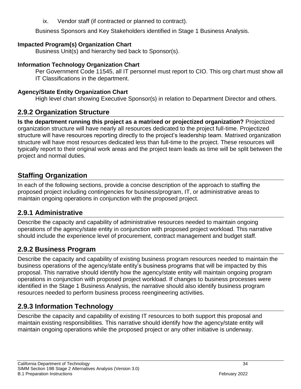ix. Vendor staff (if contracted or planned to contract).

Business Sponsors and Key Stakeholders identified in Stage 1 Business Analysis.

#### **Impacted Program(s) Organization Chart**

Business Unit(s) and hierarchy tied back to Sponsor(s).

#### **Information Technology Organization Chart**

Per Government Code 11545, all IT personnel must report to CIO. This org chart must show all IT Classifications in the department.

#### **Agency/State Entity Organization Chart**

High level chart showing Executive Sponsor(s) in relation to Department Director and others.

### **2.9.2 Organization Structure**

**Is the department running this project as a matrixed or projectized organization?** Projectized organization structure will have nearly all resources dedicated to the project full-time. Projectized structure will have resources reporting directly to the project's leadership team. Matrixed organization structure will have most resources dedicated less than full-time to the project. These resources will typically report to their original work areas and the project team leads as time will be split between the project and normal duties.

## **Staffing Organization**

In each of the following sections, provide a concise description of the approach to staffing the proposed project including contingencies for business/program, IT, or administrative areas to maintain ongoing operations in conjunction with the proposed project.

### **2.9.1 Administrative**

Describe the capacity and capability of administrative resources needed to maintain ongoing operations of the agency/state entity in conjunction with proposed project workload. This narrative should include the experience level of procurement, contract management and budget staff.

## **2.9.2 Business Program**

Describe the capacity and capability of existing business program resources needed to maintain the business operations of the agency/state entity's business programs that will be impacted by this proposal. This narrative should identify how the agency/state entity will maintain ongoing program operations in conjunction with proposed project workload. If changes to business processes were identified in the Stage 1 Business Analysis, the narrative should also identify business program resources needed to perform business process reengineering activities.

## **2.9.3 Information Technology**

Describe the capacity and capability of existing IT resources to both support this proposal and maintain existing responsibilities. This narrative should identify how the agency/state entity will maintain ongoing operations while the proposed project or any other initiative is underway.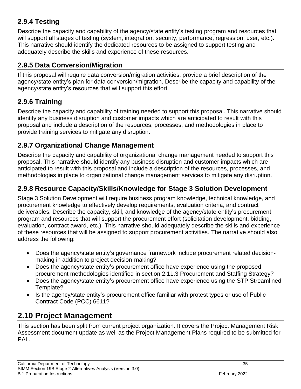### **2.9.4 Testing**

Describe the capacity and capability of the agency/state entity's testing program and resources that will support all stages of testing (system, integration, security, performance, regression, user, etc.). This narrative should identify the dedicated resources to be assigned to support testing and adequately describe the skills and experience of these resources.

### **2.9.5 Data Conversion/Migration**

If this proposal will require data conversion/migration activities, provide a brief description of the agency/state entity's plan for data conversion/migration. Describe the capacity and capability of the agency/state entity's resources that will support this effort.

### **2.9.6 Training**

Describe the capacity and capability of training needed to support this proposal. This narrative should identify any business disruption and customer impacts which are anticipated to result with this proposal and include a description of the resources, processes, and methodologies in place to provide training services to mitigate any disruption.

### **2.9.7 Organizational Change Management**

Describe the capacity and capability of organizational change management needed to support this proposal. This narrative should identify any business disruption and customer impacts which are anticipated to result with this proposal and include a description of the resources, processes, and methodologies in place to organizational change management services to mitigate any disruption.

### **2.9.8 Resource Capacity/Skills/Knowledge for Stage 3 Solution Development**

Stage 3 Solution Development will require business program knowledge, technical knowledge, and procurement knowledge to effectively develop requirements, evaluation criteria, and contract deliverables. Describe the capacity, skill, and knowledge of the agency/state entity's procurement program and resources that will support the procurement effort (solicitation development, bidding, evaluation, contract award, etc.). This narrative should adequately describe the skills and experience of these resources that will be assigned to support procurement activities. The narrative should also address the following:

- Does the agency/state entity's governance framework include procurement related decisionmaking in addition to project decision-making?
- Does the agency/state entity's procurement office have experience using the proposed procurement methodologies identified in section 2.11.3 Procurement and Staffing Strategy?
- Does the agency/state entity's procurement office have experience using the STP Streamlined Template?
- Is the agency/state entity's procurement office familiar with protest types or use of Public Contract Code (PCC) 6611?

# <span id="page-35-0"></span>**2.10 Project Management**

This section has been split from current project organization. It covers the Project Management Risk Assessment document update as well as the Project Management Plans required to be submitted for PAL.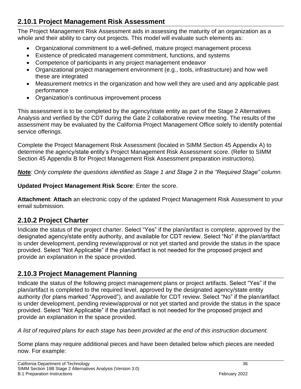### **2.10.1 Project Management Risk Assessment**

The Project Management Risk Assessment aids in assessing the maturity of an organization as a whole and their ability to carry out projects. This model will evaluate such elements as:

- Organizational commitment to a well-defined, mature project management process
- Existence of predicated management commitment, functions, and systems
- Competence of participants in any project management endeavor
- Organizational project management environment (e.g., tools, infrastructure) and how well these are integrated
- Measurement metrics in the organization and how well they are used and any applicable past performance
- Organization's continuous improvement process

This assessment is to be completed by the agency/state entity as part of the Stage 2 Alternatives Analysis and verified by the CDT during the Gate 2 collaborative review meeting. The results of the assessment may be evaluated by the California Project Management Office solely to identify potential service offerings.

Complete the Project Management Risk Assessment (located in SIMM Section 45 Appendix A) to determine the agency/state entity's Project Management Risk Assessment score. (Refer to SIMM Section 45 Appendix B for Project Management Risk Assessment preparation instructions).

*Note: Only complete the questions identified as Stage 1 and Stage 2 in the "Required Stage" column*.

**Updated Project Management Risk Score**: Enter the score.

**Attachment**: **Attach** an electronic copy of the updated Project Management Risk Assessment to your email submission.

### **2.10.2 Project Charter**

Indicate the status of the project charter. Select "Yes" if the plan/artifact is complete, approved by the designated agency/state entity authority, and available for CDT review. Select "No" if the plan/artifact is under development, pending review/approval or not yet started and provide the status in the space provided. Select "Not Applicable" if the plan/artifact is not needed for the proposed project and provide an explanation in the space provided.

## **2.10.3 Project Management Planning**

Indicate the status of the following project management plans or project artifacts. Select "Yes" if the plan/artifact is completed to the required level, approved by the designated agency/state entity authority (for plans marked "Approved"), and available for CDT review. Select "No" if the plan/artifact is under development, pending review/approval or not yet started and provide the status in the space provided. Select "Not Applicable" if the plan/artifact is not needed for the proposed project and provide an explanation in the space provided.

*A list of required plans for each stage has been provided at the end of this instruction document.*

Some plans may require additional pieces and have been detailed below which pieces are needed now. For example: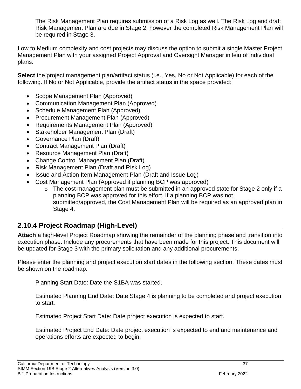The Risk Management Plan requires submission of a Risk Log as well. The Risk Log and draft Risk Management Plan are due in Stage 2, however the completed Risk Management Plan will be required in Stage 3.

Low to Medium complexity and cost projects may discuss the option to submit a single Master Project Management Plan with your assigned Project Approval and Oversight Manager in leiu of individual plans.

**Select** the project management plan/artifact status (i.e., Yes, No or Not Applicable) for each of the following. If No or Not Applicable, provide the artifact status in the space provided:

- Scope Management Plan (Approved)
- Communication Management Plan (Approved)
- Schedule Management Plan (Approved)
- Procurement Management Plan (Approved)
- Requirements Management Plan (Approved)
- Stakeholder Management Plan (Draft)
- Governance Plan (Draft)
- Contract Management Plan (Draft)
- Resource Management Plan (Draft)
- Change Control Management Plan (Draft)
- Risk Management Plan (Draft and Risk Log)
- Issue and Action Item Management Plan (Draft and Issue Log)
- Cost Management Plan (Approved if planning BCP was approved)
	- o The cost management plan must be submitted in an approved state for Stage 2 only if a planning BCP was approved for this effort. If a planning BCP was not submitted/approved, the Cost Management Plan will be required as an approved plan in Stage 4.

### **2.10.4 Project Roadmap (High-Level)**

**Attach** a high-level Project Roadmap showing the remainder of the planning phase and transition into execution phase. Include any procurements that have been made for this project. This document will be updated for Stage 3 with the primary solicitation and any additional procurements.

Please enter the planning and project execution start dates in the following section. These dates must be shown on the roadmap.

Planning Start Date: Date the S1BA was started.

Estimated Planning End Date: Date Stage 4 is planning to be completed and project execution to start.

Estimated Project Start Date: Date project execution is expected to start.

Estimated Project End Date: Date project execution is expected to end and maintenance and operations efforts are expected to begin.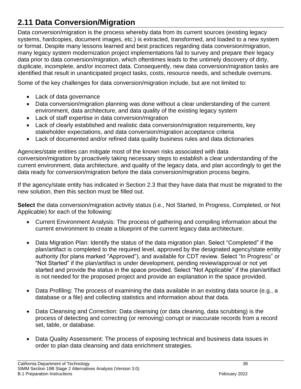# <span id="page-38-0"></span>**2.11 Data Conversion/Migration**

Data conversion/migration is the process whereby data from its current sources (existing legacy systems, hardcopies, document images, etc.) is extracted, transformed, and loaded to a new system or format. Despite many lessons learned and best practices regarding data conversion/migration, many legacy system modernization project implementations fail to survey and prepare their legacy data prior to data conversion/migration, which oftentimes leads to the untimely discovery of dirty, duplicate, incomplete, and/or incorrect data. Consequently, new data conversion/migration tasks are identified that result in unanticipated project tasks, costs, resource needs, and schedule overruns.

Some of the key challenges for data conversion/migration include, but are not limited to:

- Lack of data governance
- Data conversion/migration planning was done without a clear understanding of the current environment, data architecture, and data quality of the existing legacy system
- Lack of staff expertise in data conversion/migration
- Lack of clearly established and realistic data conversion/migration requirements, key stakeholder expectations, and data conversion/migration acceptance criteria
- Lack of documented and/or refined data quality business rules and data dictionaries

Agencies/state entities can mitigate most of the known risks associated with data conversion/migration by proactively taking necessary steps to establish a clear understanding of the current environment, data architecture, and quality of the legacy data, and plan accordingly to get the data ready for conversion/migration before the data conversion/migration process begins.

If the agency/state entity has indicated in Section 2.3 that they have data that must be migrated to the new solution, then this section must be filled out.

**Select** the data conversion/migration activity status (i.e., Not Started, In Progress, Completed, or Not Applicable) for each of the following:

- Current Environment Analysis: The process of gathering and compiling information about the current environment to create a blueprint of the current legacy data architecture.
- Data Migration Plan: Identify the status of the data migration plan. Select "Completed" if the plan/artifact is completed to the required level, approved by the designated agency/state entity authority (for plans marked "Approved"), and available for CDT review. Select "In Progress" or "Not Started" if the plan/artifact is under development, pending review/approval or not yet started and provide the status in the space provided. Select "Not Applicable" if the plan/artifact is not needed for the proposed project and provide an explanation in the space provided.
- Data Profiling: The process of examining the data available in an existing data source (e.g., a database or a file) and collecting statistics and information about that data.
- Data Cleansing and Correction: Data cleansing (or data cleaning, data scrubbing) is the process of detecting and correcting (or removing) corrupt or inaccurate records from a record set, table, or database.
- Data Quality Assessment: The process of exposing technical and business data issues in order to plan data cleansing and data enrichment strategies.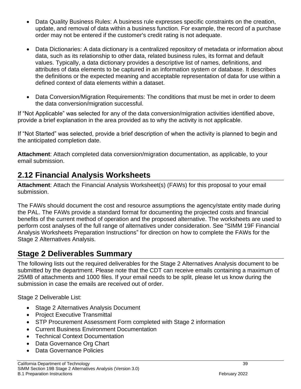- Data Quality Business Rules: A business rule expresses specific constraints on the creation, update, and removal of data within a business function. For example, the record of a purchase order may not be entered if the customer's credit rating is not adequate.
- Data Dictionaries: A data dictionary is a centralized repository of metadata or information about data, such as its relationship to other data, related business rules, its format and default values. Typically, a data dictionary provides a descriptive list of names, definitions, and attributes of data elements to be captured in an information system or database. It describes the definitions or the expected meaning and acceptable representation of data for use within a defined context of data elements within a dataset.
- Data Conversion/Migration Requirements: The conditions that must be met in order to deem the data conversion/migration successful.

If "Not Applicable" was selected for any of the data conversion/migration activities identified above, provide a brief explanation in the area provided as to why the activity is not applicable.

If "Not Started" was selected, provide a brief description of when the activity is planned to begin and the anticipated completion date.

**Attachment**: Attach completed data conversion/migration documentation, as applicable, to your email submission.

# <span id="page-39-0"></span>**2.12 Financial Analysis Worksheets**

**Attachment**: Attach the Financial Analysis Worksheet(s) (FAWs) for this proposal to your email submission.

The FAWs should document the cost and resource assumptions the agency/state entity made during the PAL. The FAWs provide a standard format for documenting the projected costs and financial benefits of the current method of operation and the proposed alternative. The worksheets are used to perform cost analyses of the full range of alternatives under consideration. See "SIMM 19F Financial Analysis Worksheets Preparation Instructions" for direction on how to complete the FAWs for the Stage 2 Alternatives Analysis.

# <span id="page-39-1"></span>**Stage 2 Deliverables Summary**

The following lists out the required deliverables for the Stage 2 Alternatives Analysis document to be submitted by the department. Please note that the CDT can receive emails containing a maximum of 25MB of attachments and 1000 files. If your email needs to be split, please let us know during the submission in case the emails are received out of order.

Stage 2 Deliverable List:

- Stage 2 Alternatives Analysis Document
- Project Executive Transmittal
- STP Procurement Assessment Form completed with Stage 2 information
- Current Business Environment Documentation
- Technical Context Documentation
- Data Governance Org Chart
- Data Governance Policies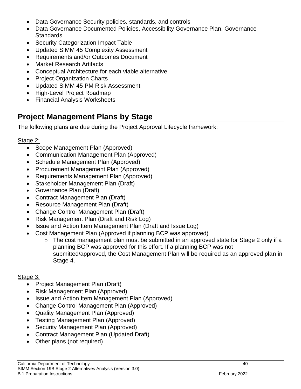- Data Governance Security policies, standards, and controls
- Data Governance Documented Policies, Accessibility Governance Plan, Governance **Standards**
- Security Categorization Impact Table
- Updated SIMM 45 Complexity Assessment
- Requirements and/or Outcomes Document
- Market Research Artifacts
- Conceptual Architecture for each viable alternative
- Project Organization Charts
- Updated SIMM 45 PM Risk Assessment
- High-Level Project Roadmap
- Financial Analysis Worksheets

# <span id="page-40-0"></span>**Project Management Plans by Stage**

The following plans are due during the Project Approval Lifecycle framework:

#### Stage 2:

- Scope Management Plan (Approved)
- Communication Management Plan (Approved)
- Schedule Management Plan (Approved)
- Procurement Management Plan (Approved)
- Requirements Management Plan (Approved)
- Stakeholder Management Plan (Draft)
- Governance Plan (Draft)
- Contract Management Plan (Draft)
- Resource Management Plan (Draft)
- Change Control Management Plan (Draft)
- Risk Management Plan (Draft and Risk Log)
- Issue and Action Item Management Plan (Draft and Issue Log)
- Cost Management Plan (Approved if planning BCP was approved)
	- o The cost management plan must be submitted in an approved state for Stage 2 only if a planning BCP was approved for this effort. If a planning BCP was not submitted/approved, the Cost Management Plan will be required as an approved plan in Stage 4.

#### Stage 3:

- Project Management Plan (Draft)
- Risk Management Plan (Approved)
- Issue and Action Item Management Plan (Approved)
- Change Control Management Plan (Approved)
- Quality Management Plan (Approved)
- Testing Management Plan (Approved)
- Security Management Plan (Approved)
- Contract Management Plan (Updated Draft)
- Other plans (not required)